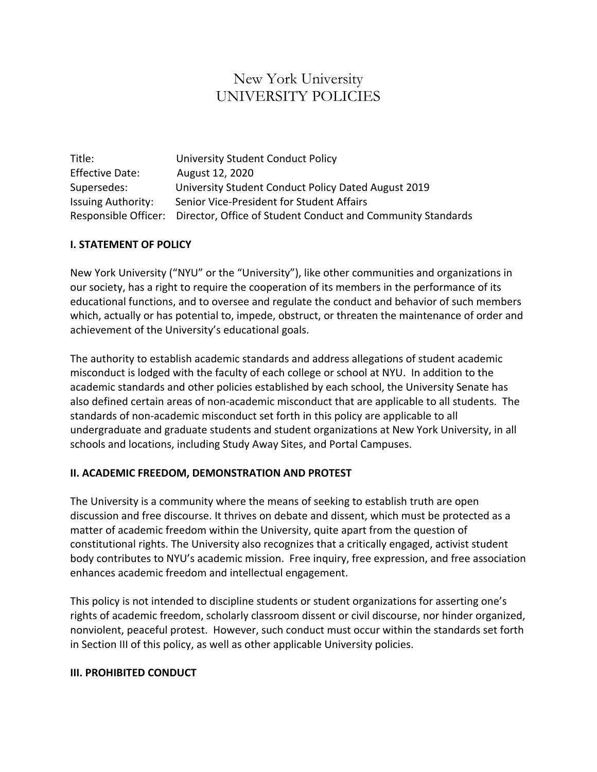# New York University UNIVERSITY POLICIES

| Title:                    | University Student Conduct Policy                                                |
|---------------------------|----------------------------------------------------------------------------------|
| <b>Effective Date:</b>    | August 12, 2020                                                                  |
| Supersedes:               | University Student Conduct Policy Dated August 2019                              |
| <b>Issuing Authority:</b> | Senior Vice-President for Student Affairs                                        |
|                           | Responsible Officer: Director, Office of Student Conduct and Community Standards |

# **I. STATEMENT OF POLICY**

New York University ("NYU" or the "University"), like other communities and organizations in our society, has a right to require the cooperation of its members in the performance of its educational functions, and to oversee and regulate the conduct and behavior of such members which, actually or has potential to, impede, obstruct, or threaten the maintenance of order and achievement of the University's educational goals.

The authority to establish academic standards and address allegations of student academic misconduct is lodged with the faculty of each college or school at NYU. In addition to the academic standards and other policies established by each school, the University Senate has also defined certain areas of non-academic misconduct that are applicable to all students. The standards of non-academic misconduct set forth in this policy are applicable to all undergraduate and graduate students and student organizations at New York University, in all schools and locations, including Study Away Sites, and Portal Campuses.

### **II. ACADEMIC FREEDOM, DEMONSTRATION AND PROTEST**

The University is a community where the means of seeking to establish truth are open discussion and free discourse. It thrives on debate and dissent, which must be protected as a matter of academic freedom within the University, quite apart from the question of constitutional rights. The University also recognizes that a critically engaged, activist student body contributes to NYU's academic mission. Free inquiry, free expression, and free association enhances academic freedom and intellectual engagement.

This policy is not intended to discipline students or student organizations for asserting one's rights of academic freedom, scholarly classroom dissent or civil discourse, nor hinder organized, nonviolent, peaceful protest. However, such conduct must occur within the standards set forth in Section III of this policy, as well as other applicable University policies.

# **III. PROHIBITED CONDUCT**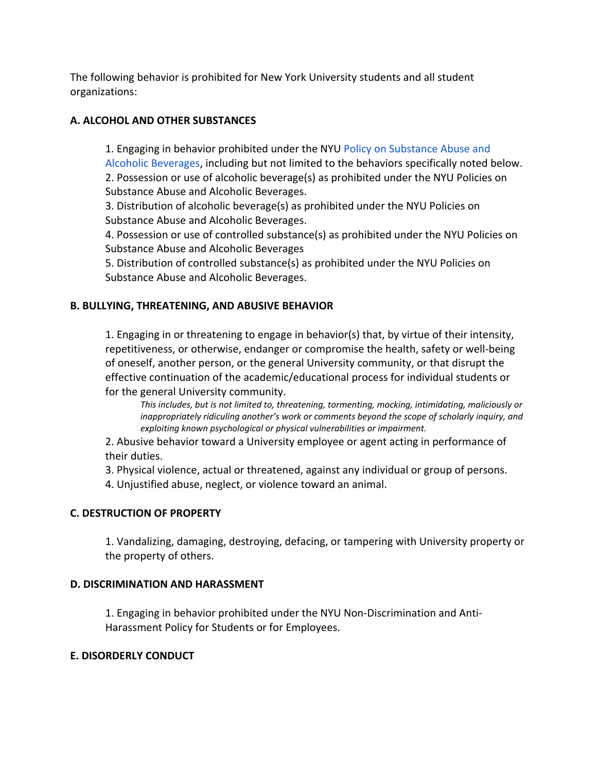The following behavior is prohibited for New York University students and all student organizations:

# **A. ALCOHOL AND OTHER SUBSTANCES**

1. Engaging in behavior prohibited under the NYU [Policy on Substance Abuse and](https://www.nyu.edu/about/policies-guidelines-compliance/policies-and-guidelines/substance-abuse-and-alcoholic-beverages.html)  [Alcoholic Beverages,](https://www.nyu.edu/about/policies-guidelines-compliance/policies-and-guidelines/substance-abuse-and-alcoholic-beverages.html) including but not limited to the behaviors specifically noted below. 2. Possession or use of alcoholic beverage(s) as prohibited under the NYU Policies on Substance Abuse and Alcoholic Beverages.

3. Distribution of alcoholic beverage(s) as prohibited under the NYU Policies on Substance Abuse and Alcoholic Beverages.

4. Possession or use of controlled substance(s) as prohibited under the NYU Policies on Substance Abuse and Alcoholic Beverages

5. Distribution of controlled substance(s) as prohibited under the NYU Policies on Substance Abuse and Alcoholic Beverages.

# **B. BULLYING, THREATENING, AND ABUSIVE BEHAVIOR**

1. Engaging in or threatening to engage in behavior(s) that, by virtue of their intensity, repetitiveness, or otherwise, endanger or compromise the health, safety or well-being of oneself, another person, or the general University community, or that disrupt the effective continuation of the academic/educational process for individual students or for the general University community.

*This includes, but is not limited to, threatening, tormenting, mocking, intimidating, maliciously or inappropriately ridiculing another's work or comments beyond the scope of scholarly inquiry, and exploiting known psychological or physical vulnerabilities or impairment.*

2. Abusive behavior toward a University employee or agent acting in performance of their duties.

3. Physical violence, actual or threatened, against any individual or group of persons.

4. Unjustified abuse, neglect, or violence toward an animal.

# **C. DESTRUCTION OF PROPERTY**

1. Vandalizing, damaging, destroying, defacing, or tampering with University property or the property of others.

# **D. DISCRIMINATION AND HARASSMENT**

1. Engaging in behavior prohibited under the NYU Non-Discrimination and Anti-Harassment Policy for Students or for Employees.

### **E. DISORDERLY CONDUCT**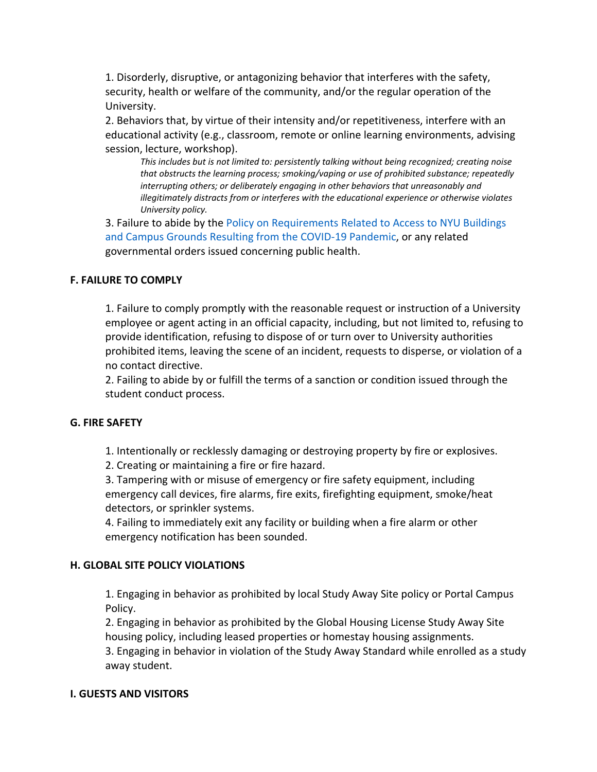1. Disorderly, disruptive, or antagonizing behavior that interferes with the safety, security, health or welfare of the community, and/or the regular operation of the University.

2. Behaviors that, by virtue of their intensity and/or repetitiveness, interfere with an educational activity (e.g., classroom, remote or online learning environments, advising session, lecture, workshop).

*This includes but is not limited to: persistently talking without being recognized; creating noise that obstructs the learning process; smoking/vaping or use of prohibited substance; repeatedly interrupting others; or deliberately engaging in other behaviors that unreasonably and illegitimately distracts from or interferes with the educational experience or otherwise violates University policy.*

3. Failure to abide by the [Policy on Requirements Related to Access to NYU Buildings](https://www.nyu.edu/about/policies-guidelines-compliance/policies-and-guidelines/building-access-policy.html)  [and Campus Grounds Resulting from the COVID-19 Pandemic,](https://www.nyu.edu/about/policies-guidelines-compliance/policies-and-guidelines/building-access-policy.html) or any related governmental orders issued concerning public health.

### **F. FAILURE TO COMPLY**

1. Failure to comply promptly with the reasonable request or instruction of a University employee or agent acting in an official capacity, including, but not limited to, refusing to provide identification, refusing to dispose of or turn over to University authorities prohibited items, leaving the scene of an incident, requests to disperse, or violation of a no contact directive.

2. Failing to abide by or fulfill the terms of a sanction or condition issued through the student conduct process.

### **G. FIRE SAFETY**

1. Intentionally or recklessly damaging or destroying property by fire or explosives.

2. Creating or maintaining a fire or fire hazard.

3. Tampering with or misuse of emergency or fire safety equipment, including emergency call devices, fire alarms, fire exits, firefighting equipment, smoke/heat detectors, or sprinkler systems.

4. Failing to immediately exit any facility or building when a fire alarm or other emergency notification has been sounded.

### **H. GLOBAL SITE POLICY VIOLATIONS**

1. Engaging in behavior as prohibited by local Study Away Site policy or Portal Campus Policy.

2. Engaging in behavior as prohibited by the Global Housing License Study Away Site housing policy, including leased properties or homestay housing assignments.

3. Engaging in behavior in violation of the Study Away Standard while enrolled as a study away student.

#### **I. GUESTS AND VISITORS**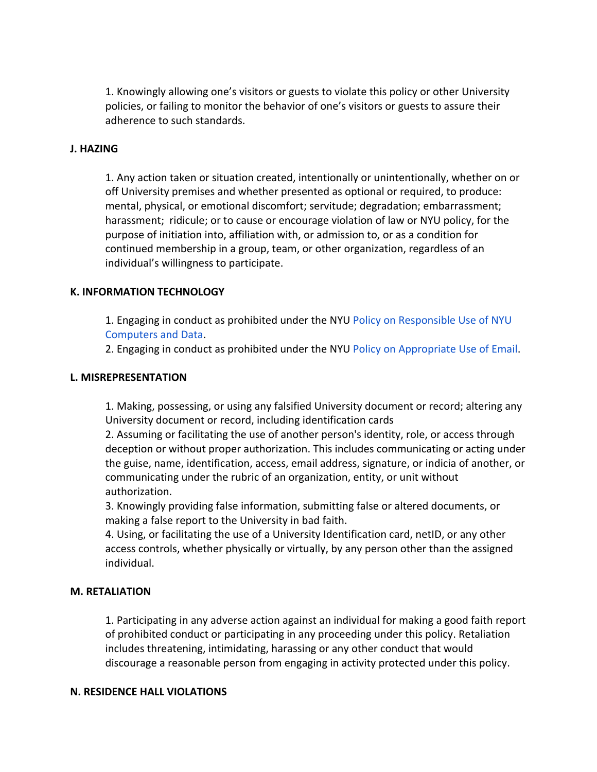1. Knowingly allowing one's visitors or guests to violate this policy or other University policies, or failing to monitor the behavior of one's visitors or guests to assure their adherence to such standards.

#### **J. HAZING**

1. Any action taken or situation created, intentionally or unintentionally, whether on or off University premises and whether presented as optional or required, to produce: mental, physical, or emotional discomfort; servitude; degradation; embarrassment; harassment; ridicule; or to cause or encourage violation of law or NYU policy, for the purpose of initiation into, affiliation with, or admission to, or as a condition for continued membership in a group, team, or other organization, regardless of an individual's willingness to participate.

#### **K. INFORMATION TECHNOLOGY**

1. Engaging in conduct as prohibited under the NYU [Policy on Responsible Use of NYU](https://www.nyu.edu/about/policies-guidelines-compliance/policies-and-guidelines/responsible-use-of-nyu-computers-and-data-policy-on.html)  [Computers and Data.](https://www.nyu.edu/about/policies-guidelines-compliance/policies-and-guidelines/responsible-use-of-nyu-computers-and-data-policy-on.html)

2. Engaging in conduct as prohibited under the NYU [Policy on Appropriate Use of Email.](https://www.nyu.edu/about/policies-guidelines-compliance/policies-and-guidelines/appropriate-use-of-e-mail-at-new-york-university.html)

#### **L. MISREPRESENTATION**

1. Making, possessing, or using any falsified University document or record; altering any University document or record, including identification cards

2. Assuming or facilitating the use of another person's identity, role, or access through deception or without proper authorization. This includes communicating or acting under the guise, name, identification, access, email address, signature, or indicia of another, or communicating under the rubric of an organization, entity, or unit without authorization.

3. Knowingly providing false information, submitting false or altered documents, or making a false report to the University in bad faith.

4. Using, or facilitating the use of a University Identification card, netID, or any other access controls, whether physically or virtually, by any person other than the assigned individual.

#### **M. RETALIATION**

1. Participating in any adverse action against an individual for making a good faith report of prohibited conduct or participating in any proceeding under this policy. Retaliation includes threatening, intimidating, harassing or any other conduct that would discourage a reasonable person from engaging in activity protected under this policy.

### **N. RESIDENCE HALL VIOLATIONS**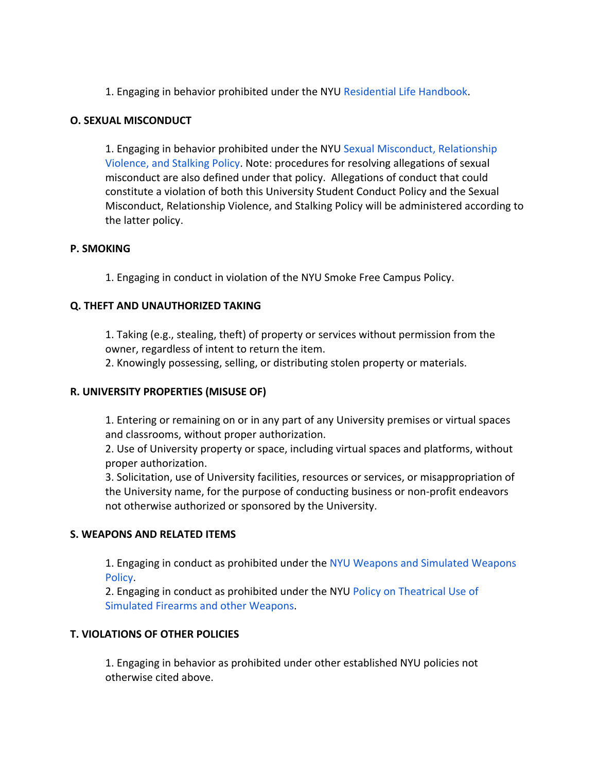1. Engaging in behavior prohibited under the NYU [Residential Life Handbook.](https://www.nyu.edu/students/student-information-and-resources/housing-and-dining/on-campus-living/residence-hall-policies/judicial-information/judicial-handbook.html)

### **O. SEXUAL MISCONDUCT**

1. Engaging in behavior prohibited under the NYU [Sexual Misconduct, Relationship](https://www.nyu.edu/about/policies-guidelines-compliance/policies-and-guidelines/sexual-misconduct--relationship-violence--and-stalking-policy.html)  [Violence, and Stalking Policy.](https://www.nyu.edu/about/policies-guidelines-compliance/policies-and-guidelines/sexual-misconduct--relationship-violence--and-stalking-policy.html) Note: procedures for resolving allegations of sexual misconduct are also defined under that policy. Allegations of conduct that could constitute a violation of both this University Student Conduct Policy and the Sexual Misconduct, Relationship Violence, and Stalking Policy will be administered according to the latter policy.

### **P. SMOKING**

1. Engaging in conduct in violation of the NYU Smoke Free Campus Policy.

### **Q. THEFT AND UNAUTHORIZED TAKING**

1. Taking (e.g., stealing, theft) of property or services without permission from the owner, regardless of intent to return the item.

2. Knowingly possessing, selling, or distributing stolen property or materials.

### **R. UNIVERSITY PROPERTIES (MISUSE OF)**

1. Entering or remaining on or in any part of any University premises or virtual spaces and classrooms, without proper authorization.

2. Use of University property or space, including virtual spaces and platforms, without proper authorization.

3. Solicitation, use of University facilities, resources or services, or misappropriation of the University name, for the purpose of conducting business or non-profit endeavors not otherwise authorized or sponsored by the University.

### **S. WEAPONS AND RELATED ITEMS**

1. Engaging in conduct as prohibited under the [NYU Weapons and Simulated Weapons](https://www.nyu.edu/about/policies-guidelines-compliance/policies-and-guidelines/weapons-and-simulated-weapons-policy.html)  [Policy.](https://www.nyu.edu/about/policies-guidelines-compliance/policies-and-guidelines/weapons-and-simulated-weapons-policy.html)

2. Engaging in conduct as prohibited under the NYU [Policy on Theatrical Use of](https://www.nyu.edu/about/policies-guidelines-compliance/policies-and-guidelines/theatrical-use-of-simulated-weapons-policy.html)  [Simulated Firearms and other Weapons.](https://www.nyu.edu/about/policies-guidelines-compliance/policies-and-guidelines/theatrical-use-of-simulated-weapons-policy.html)

# **T. VIOLATIONS OF OTHER POLICIES**

1. Engaging in behavior as prohibited under other established NYU policies not otherwise cited above.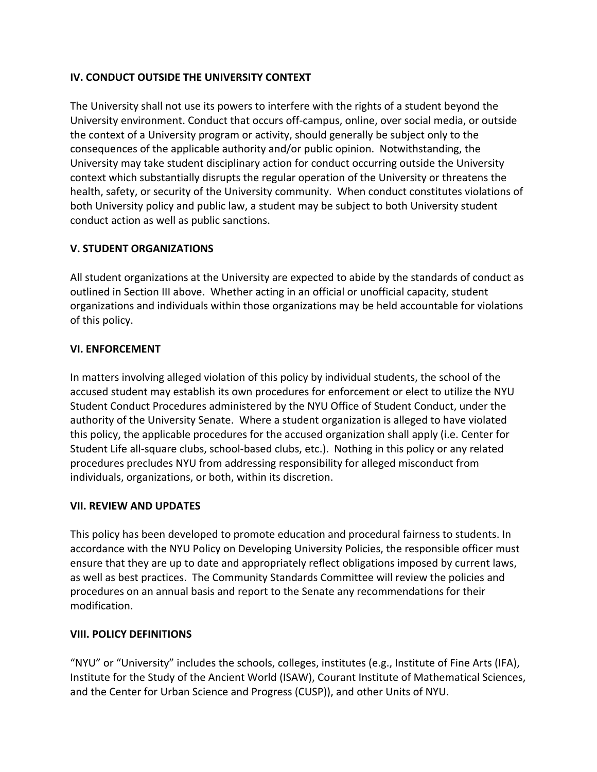# **IV. CONDUCT OUTSIDE THE UNIVERSITY CONTEXT**

The University shall not use its powers to interfere with the rights of a student beyond the University environment. Conduct that occurs off-campus, online, over social media, or outside the context of a University program or activity, should generally be subject only to the consequences of the applicable authority and/or public opinion. Notwithstanding, the University may take student disciplinary action for conduct occurring outside the University context which substantially disrupts the regular operation of the University or threatens the health, safety, or security of the University community. When conduct constitutes violations of both University policy and public law, a student may be subject to both University student conduct action as well as public sanctions.

# **V. STUDENT ORGANIZATIONS**

All student organizations at the University are expected to abide by the standards of conduct as outlined in Section III above. Whether acting in an official or unofficial capacity, student organizations and individuals within those organizations may be held accountable for violations of this policy.

# **VI. ENFORCEMENT**

In matters involving alleged violation of this policy by individual students, the school of the accused student may establish its own procedures for enforcement or elect to utilize the NYU Student Conduct Procedures administered by the NYU Office of Student Conduct, under the authority of the University Senate. Where a student organization is alleged to have violated this policy, the applicable procedures for the accused organization shall apply (i.e. Center for Student Life all-square clubs, school-based clubs, etc.). Nothing in this policy or any related procedures precludes NYU from addressing responsibility for alleged misconduct from individuals, organizations, or both, within its discretion.

### **VII. REVIEW AND UPDATES**

This policy has been developed to promote education and procedural fairness to students. In accordance with the NYU Policy on Developing University Policies, the responsible officer must ensure that they are up to date and appropriately reflect obligations imposed by current laws, as well as best practices. The Community Standards Committee will review the policies and procedures on an annual basis and report to the Senate any recommendations for their modification.

# **VIII. POLICY DEFINITIONS**

"NYU" or "University" includes the schools, colleges, institutes (e.g., Institute of Fine Arts (IFA), Institute for the Study of the Ancient World (ISAW), Courant Institute of Mathematical Sciences, and the Center for Urban Science and Progress (CUSP)), and other Units of NYU.